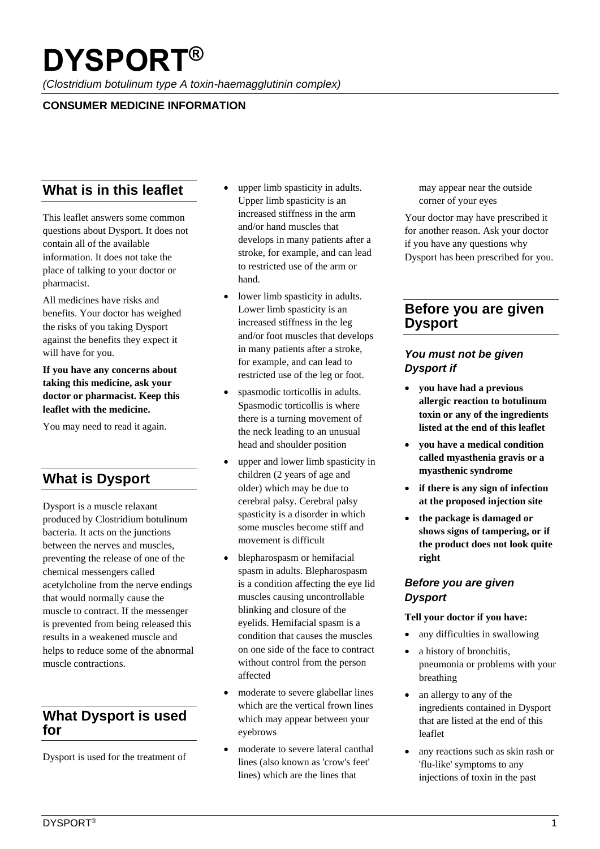# **DYSPORT®**

*(Clostridium botulinum type A toxin-haemagglutinin complex)*

## **CONSUMER MEDICINE INFORMATION**

# **What is in this leaflet**

This leaflet answers some common questions about Dysport. It does not contain all of the available information. It does not take the place of talking to your doctor or pharmacist.

All medicines have risks and benefits. Your doctor has weighed the risks of you taking Dysport against the benefits they expect it will have for you.

**If you have any concerns about taking this medicine, ask your doctor or pharmacist. Keep this leaflet with the medicine.** 

You may need to read it again.

# **What is Dysport**

Dysport is a muscle relaxant produced by Clostridium botulinum bacteria. It acts on the junctions between the nerves and muscles, preventing the release of one of the chemical messengers called acetylcholine from the nerve endings that would normally cause the muscle to contract. If the messenger is prevented from being released this results in a weakened muscle and helps to reduce some of the abnormal muscle contractions.

# **What Dysport is used for**

Dysport is used for the treatment of

- upper limb spasticity in adults. Upper limb spasticity is an increased stiffness in the arm and/or hand muscles that develops in many patients after a stroke, for example, and can lead to restricted use of the arm or hand.
- lower limb spasticity in adults. Lower limb spasticity is an increased stiffness in the leg and/or foot muscles that develops in many patients after a stroke, for example, and can lead to restricted use of the leg or foot.
- spasmodic torticollis in adults. Spasmodic torticollis is where there is a turning movement of the neck leading to an unusual head and shoulder position
- upper and lower limb spasticity in children (2 years of age and older) which may be due to cerebral palsy. Cerebral palsy spasticity is a disorder in which some muscles become stiff and movement is difficult
- blepharospasm or hemifacial spasm in adults. Blepharospasm is a condition affecting the eye lid muscles causing uncontrollable blinking and closure of the eyelids. Hemifacial spasm is a condition that causes the muscles on one side of the face to contract without control from the person affected
- moderate to severe glabellar lines which are the vertical frown lines which may appear between your eyebrows
- moderate to severe lateral canthal lines (also known as 'crow's feet' lines) which are the lines that

may appear near the outside corner of your eyes

Your doctor may have prescribed it for another reason. Ask your doctor if you have any questions why Dysport has been prescribed for you.

# **Before you are given Dysport**

## *You must not be given Dysport if*

- **you have had a previous allergic reaction to botulinum toxin or any of the ingredients listed at the end of this leaflet**
- **you have a medical condition called myasthenia gravis or a myasthenic syndrome**
- **if there is any sign of infection at the proposed injection site**
- **the package is damaged or shows signs of tampering, or if the product does not look quite right**

#### *Before you are given Dysport*

#### **Tell your doctor if you have:**

- any difficulties in swallowing
- a history of bronchitis, pneumonia or problems with your breathing
- an allergy to any of the ingredients contained in Dysport that are listed at the end of this leaflet
- any reactions such as skin rash or 'flu-like' symptoms to any injections of toxin in the past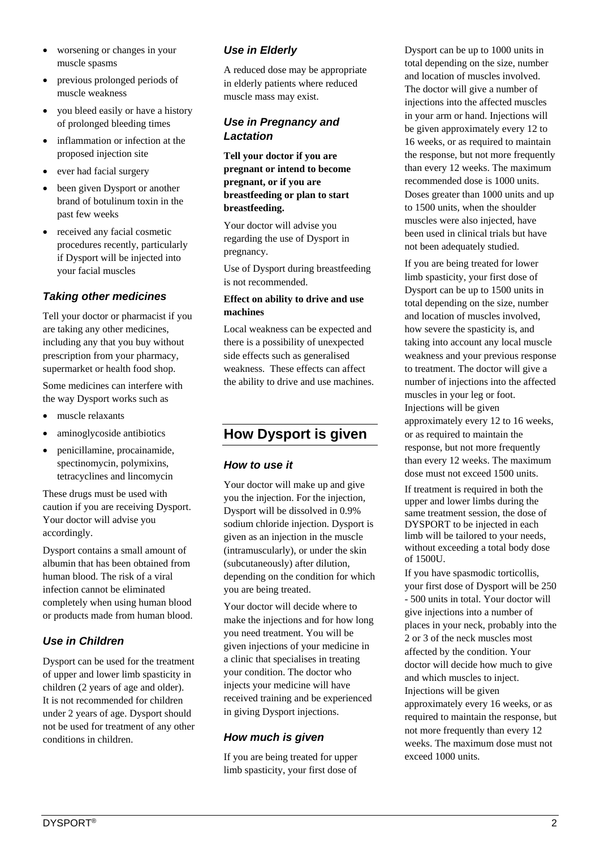- worsening or changes in your muscle spasms
- previous prolonged periods of muscle weakness
- you bleed easily or have a history of prolonged bleeding times
- inflammation or infection at the proposed injection site
- ever had facial surgery
- been given Dysport or another brand of botulinum toxin in the past few weeks
- received any facial cosmetic procedures recently, particularly if Dysport will be injected into your facial muscles

#### *Taking other medicines*

Tell your doctor or pharmacist if you are taking any other medicines, including any that you buy without prescription from your pharmacy, supermarket or health food shop.

Some medicines can interfere with the way Dysport works such as

- muscle relaxants
- aminoglycoside antibiotics
- penicillamine, procainamide, spectinomycin, polymixins, tetracyclines and lincomycin

These drugs must be used with caution if you are receiving Dysport. Your doctor will advise you accordingly.

Dysport contains a small amount of albumin that has been obtained from human blood. The risk of a viral infection cannot be eliminated completely when using human blood or products made from human blood.

#### *Use in Children*

Dysport can be used for the treatment of upper and lower limb spasticity in children (2 years of age and older). It is not recommended for children under 2 years of age. Dysport should not be used for treatment of any other conditions in children.

## *Use in Elderly*

A reduced dose may be appropriate in elderly patients where reduced muscle mass may exist.

## *Use in Pregnancy and Lactation*

**Tell your doctor if you are pregnant or intend to become pregnant, or if you are breastfeeding or plan to start breastfeeding.**

Your doctor will advise you regarding the use of Dysport in pregnancy.

Use of Dysport during breastfeeding is not recommended.

#### **Effect on ability to drive and use machines**

Local weakness can be expected and there is a possibility of unexpected side effects such as generalised weakness. These effects can affect the ability to drive and use machines.

# **How Dysport is given**

#### *How to use it*

Your doctor will make up and give you the injection. For the injection, Dysport will be dissolved in 0.9% sodium chloride injection. Dysport is given as an injection in the muscle (intramuscularly), or under the skin (subcutaneously) after dilution, depending on the condition for which you are being treated.

Your doctor will decide where to make the injections and for how long you need treatment. You will be given injections of your medicine in a clinic that specialises in treating your condition. The doctor who injects your medicine will have received training and be experienced in giving Dysport injections.

#### *How much is given*

If you are being treated for upper limb spasticity, your first dose of Dysport can be up to 1000 units in total depending on the size, number and location of muscles involved. The doctor will give a number of injections into the affected muscles in your arm or hand. Injections will be given approximately every 12 to 16 weeks, or as required to maintain the response, but not more frequently than every 12 weeks. The maximum recommended dose is 1000 units. Doses greater than 1000 units and up to 1500 units, when the shoulder muscles were also injected, have been used in clinical trials but have not been adequately studied.

If you are being treated for lower limb spasticity, your first dose of Dysport can be up to 1500 units in total depending on the size, number and location of muscles involved, how severe the spasticity is, and taking into account any local muscle weakness and your previous response to treatment. The doctor will give a number of injections into the affected muscles in your leg or foot. Injections will be given approximately every 12 to 16 weeks, or as required to maintain the response, but not more frequently than every 12 weeks. The maximum dose must not exceed 1500 units.

If treatment is required in both the upper and lower limbs during the same treatment session, the dose of DYSPORT to be injected in each limb will be tailored to your needs, without exceeding a total body dose of 1500U.

If you have spasmodic torticollis, your first dose of Dysport will be 250 - 500 units in total. Your doctor will give injections into a number of places in your neck, probably into the 2 or 3 of the neck muscles most affected by the condition. Your doctor will decide how much to give and which muscles to inject. Injections will be given approximately every 16 weeks, or as required to maintain the response, but not more frequently than every 12 weeks. The maximum dose must not exceed 1000 units.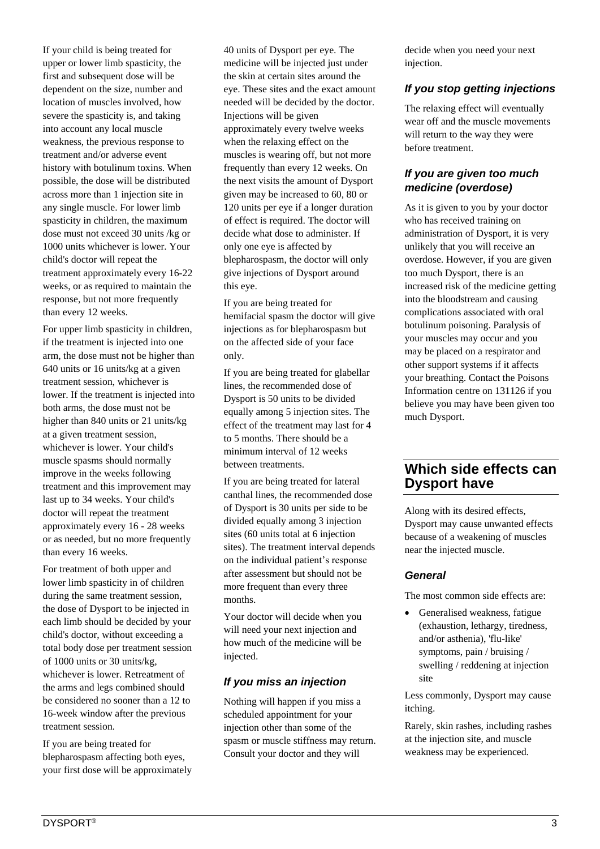If your child is being treated for upper or lower limb spasticity, the first and subsequent dose will be dependent on the size, number and location of muscles involved, how severe the spasticity is, and taking into account any local muscle weakness, the previous response to treatment and/or adverse event history with botulinum toxins. When possible, the dose will be distributed across more than 1 injection site in any single muscle. For lower limb spasticity in children, the maximum dose must not exceed 30 units /kg or 1000 units whichever is lower. Your child's doctor will repeat the treatment approximately every 16-22 weeks, or as required to maintain the response, but not more frequently than every 12 weeks.

For upper limb spasticity in children, if the treatment is injected into one arm, the dose must not be higher than 640 units or 16 units/kg at a given treatment session, whichever is lower. If the treatment is injected into both arms, the dose must not be higher than 840 units or 21 units/kg at a given treatment session, whichever is lower. Your child's muscle spasms should normally improve in the weeks following treatment and this improvement may last up to 34 weeks. Your child's doctor will repeat the treatment approximately every 16 - 28 weeks or as needed, but no more frequently than every 16 weeks.

For treatment of both upper and lower limb spasticity in of children during the same treatment session, the dose of Dysport to be injected in each limb should be decided by your child's doctor, without exceeding a total body dose per treatment session of 1000 units or 30 units/kg, whichever is lower. Retreatment of the arms and legs combined should be considered no sooner than a 12 to 16-week window after the previous treatment session.

If you are being treated for blepharospasm affecting both eyes, your first dose will be approximately 40 units of Dysport per eye. The medicine will be injected just under the skin at certain sites around the eye. These sites and the exact amount needed will be decided by the doctor. Injections will be given approximately every twelve weeks when the relaxing effect on the muscles is wearing off, but not more frequently than every 12 weeks. On the next visits the amount of Dysport given may be increased to 60, 80 or 120 units per eye if a longer duration of effect is required. The doctor will decide what dose to administer. If only one eye is affected by blepharospasm, the doctor will only give injections of Dysport around this eye.

If you are being treated for hemifacial spasm the doctor will give injections as for blepharospasm but on the affected side of your face only.

If you are being treated for glabellar lines, the recommended dose of Dysport is 50 units to be divided equally among 5 injection sites. The effect of the treatment may last for 4 to 5 months. There should be a minimum interval of 12 weeks between treatments.

If you are being treated for lateral canthal lines, the recommended dose of Dysport is 30 units per side to be divided equally among 3 injection sites (60 units total at 6 injection sites). The treatment interval depends on the individual patient's response after assessment but should not be more frequent than every three months.

Your doctor will decide when you will need your next injection and how much of the medicine will be injected.

#### *If you miss an injection*

Nothing will happen if you miss a scheduled appointment for your injection other than some of the spasm or muscle stiffness may return. Consult your doctor and they will

decide when you need your next injection.

#### *If you stop getting injections*

The relaxing effect will eventually wear off and the muscle movements will return to the way they were before treatment.

#### *If you are given too much medicine (overdose)*

As it is given to you by your doctor who has received training on administration of Dysport, it is very unlikely that you will receive an overdose. However, if you are given too much Dysport, there is an increased risk of the medicine getting into the bloodstream and causing complications associated with oral botulinum poisoning. Paralysis of your muscles may occur and you may be placed on a respirator and other support systems if it affects your breathing. Contact the Poisons Information centre on 131126 if you believe you may have been given too much Dysport.

## **Which side effects can Dysport have**

Along with its desired effects, Dysport may cause unwanted effects because of a weakening of muscles near the injected muscle.

#### *General*

The most common side effects are:

Generalised weakness, fatigue (exhaustion, lethargy, tiredness, and/or asthenia), 'flu-like' symptoms, pain / bruising / swelling / reddening at injection site

Less commonly, Dysport may cause itching.

Rarely, skin rashes, including rashes at the injection site, and muscle weakness may be experienced.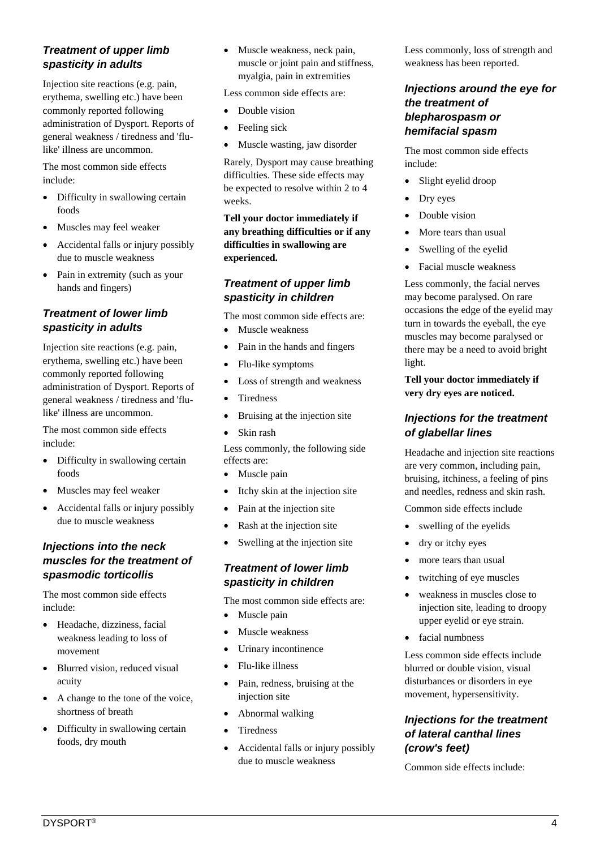### *Treatment of upper limb spasticity in adults*

Injection site reactions (e.g. pain, erythema, swelling etc.) have been commonly reported following administration of Dysport. Reports of general weakness / tiredness and 'flulike' illness are uncommon.

The most common side effects include:

- Difficulty in swallowing certain foods
- Muscles may feel weaker
- Accidental falls or injury possibly due to muscle weakness
- Pain in extremity (such as your hands and fingers)

## *Treatment of lower limb spasticity in adults*

Injection site reactions (e.g. pain, erythema, swelling etc.) have been commonly reported following administration of Dysport. Reports of general weakness / tiredness and 'flulike' illness are uncommon.

The most common side effects include:

- Difficulty in swallowing certain foods
- Muscles may feel weaker
- Accidental falls or injury possibly due to muscle weakness

#### *Injections into the neck muscles for the treatment of spasmodic torticollis*

The most common side effects include:

- Headache, dizziness, facial weakness leading to loss of movement
- Blurred vision, reduced visual acuity
- A change to the tone of the voice, shortness of breath
- Difficulty in swallowing certain foods, dry mouth

• Muscle weakness, neck pain, muscle or joint pain and stiffness, myalgia, pain in extremities

Less common side effects are:

- Double vision
- Feeling sick
- Muscle wasting, jaw disorder

Rarely, Dysport may cause breathing difficulties. These side effects may be expected to resolve within 2 to 4 weeks.

**Tell your doctor immediately if any breathing difficulties or if any difficulties in swallowing are experienced.**

#### *Treatment of upper limb spasticity in children*

- The most common side effects are:
- Muscle weakness
- Pain in the hands and fingers
- Flu-like symptoms
- Loss of strength and weakness
- Tiredness
- Bruising at the injection site
- Skin rash

Less commonly, the following side effects are:

- Muscle pain
- Itchy skin at the injection site
- Pain at the injection site
- Rash at the injection site
- Swelling at the injection site

#### *Treatment of lower limb spasticity in children*

The most common side effects are:

- Muscle pain
- Muscle weakness
- Urinary incontinence
- Flu-like illness
- Pain, redness, bruising at the injection site
- Abnormal walking
- Tiredness
- Accidental falls or injury possibly due to muscle weakness

Less commonly, loss of strength and weakness has been reported.

#### *Injections around the eye for the treatment of blepharospasm or hemifacial spasm*

The most common side effects include:

- Slight eyelid droop
- Dry eyes
- Double vision
- More tears than usual
- Swelling of the eyelid
- Facial muscle weakness

Less commonly, the facial nerves may become paralysed. On rare occasions the edge of the eyelid may turn in towards the eyeball, the eye muscles may become paralysed or there may be a need to avoid bright light.

**Tell your doctor immediately if very dry eyes are noticed.**

#### *Injections for the treatment of glabellar lines*

Headache and injection site reactions are very common, including pain, bruising, itchiness, a feeling of pins and needles, redness and skin rash.

Common side effects include

- swelling of the eyelids
- dry or itchy eyes
- more tears than usual
- twitching of eye muscles
- weakness in muscles close to injection site, leading to droopy upper eyelid or eye strain.
- facial numbness

Less common side effects include blurred or double vision, visual disturbances or disorders in eye movement, hypersensitivity.

#### *Injections for the treatment of lateral canthal lines (crow's feet)*

Common side effects include: